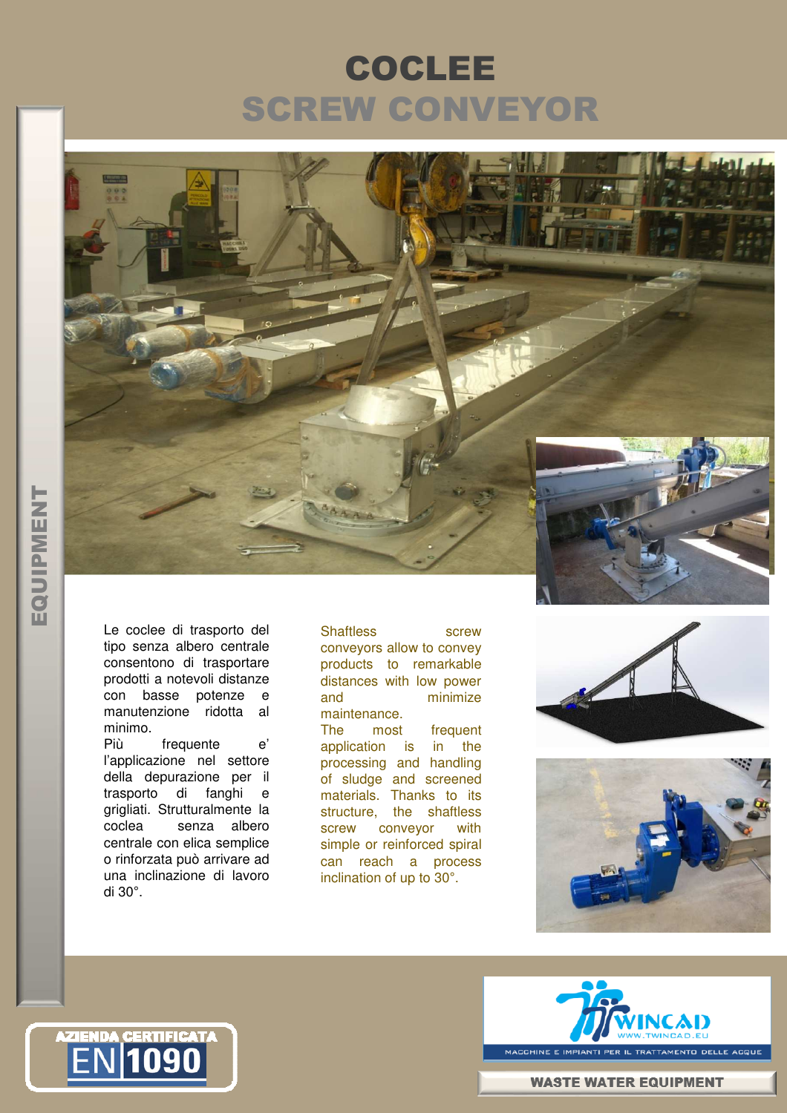

Le coclee di trasporto del tipo senza albero centrale consentono di trasportare prodotti a notevoli distanze con basse potenze e manutenzione ridotta al

minimo.<br>Più frequente e' l'applicazione nel settore della depurazione per il trasporto di fanghi e grigliati. Strutturalmente la coclea senza albero centrale con elica semplice o rinforzata può arrivare ad una inclinazione di lavoro di 30°.

Shaftless screw conveyors allow to convey products to remarkable distances with low power and minimize maintenance.

The most frequent application is in the processing and handling of sludge and screened materials. Thanks to its structure, the shaftless screw conveyor with simple or reinforced spiral can reach a process inclination of up to 30°.





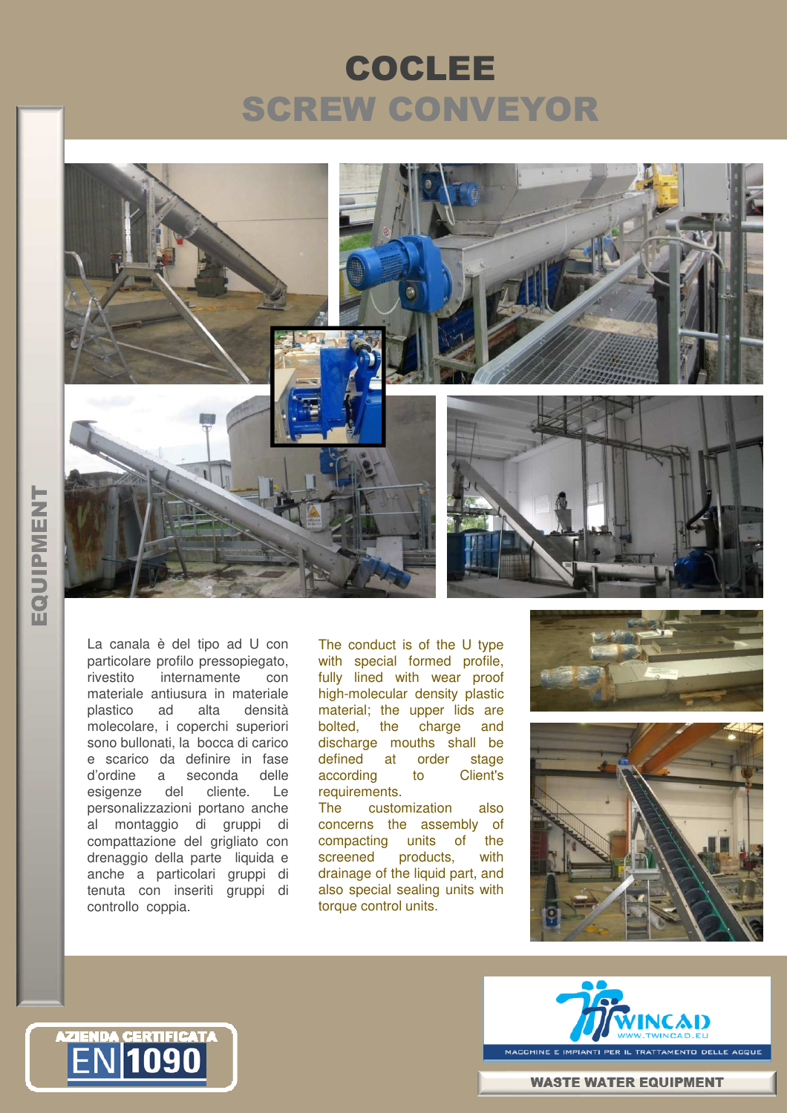

La canala è del tipo ad U con particolare profilo pressopiegato, rivestito internamente con materiale antiusura in materiale plastico ad alta densità molecolare, i coperchi superiori sono bullonati, la bocca di carico e scarico da definire in fase d'ordine a seconda delle esigenze del cliente. Le personalizzazioni portano anche al montaggio di gruppi di compattazione del grigliato con drenaggio della parte liquida e anche a particolari gruppi di tenuta con inseriti gruppi di controllo coppia.

The conduct is of the U type with special formed profile, fully lined with wear proof high-molecular density plastic material; the upper lids are bolted, the charge and discharge mouths shall be defined at order stage according to Client's requirements.

The customization also concerns the assembly of compacting units of the screened products, with drainage of the liquid part, and also special sealing units with torque control units.







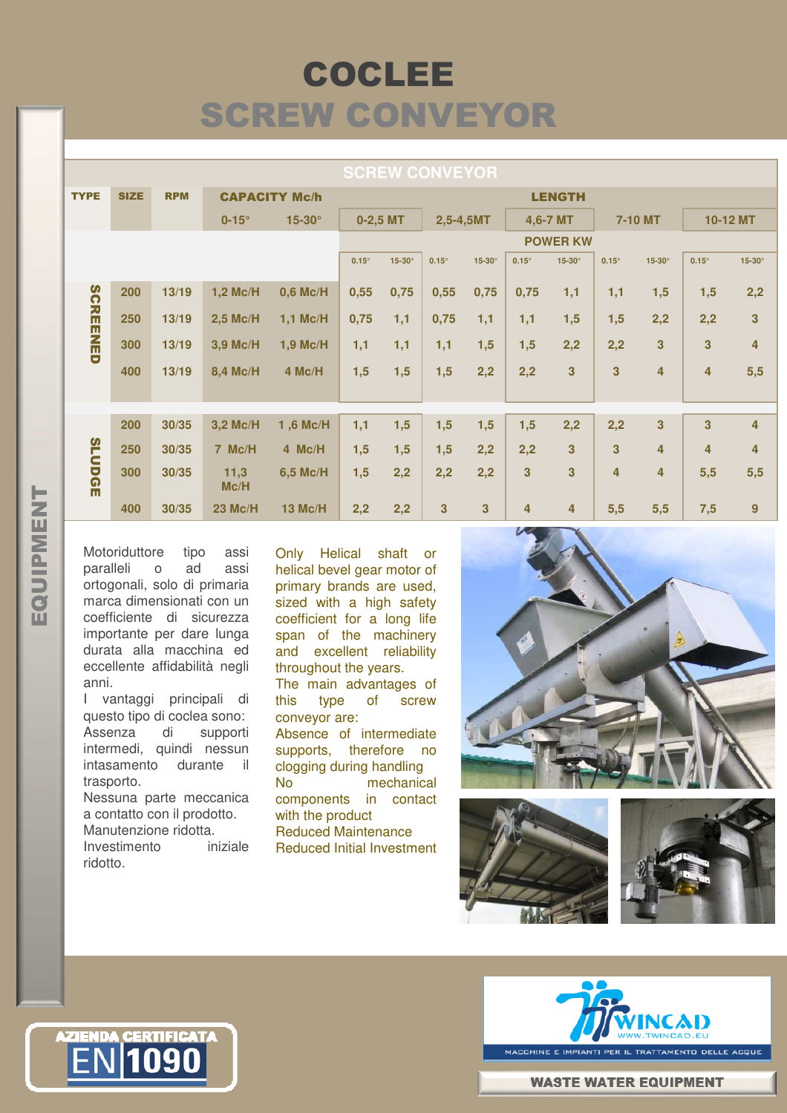|                 |             |            |                      |                |                 |               | <b>SCREW CONVEYOR</b> |        |                         |        |              |                         |                |                         |
|-----------------|-------------|------------|----------------------|----------------|-----------------|---------------|-----------------------|--------|-------------------------|--------|--------------|-------------------------|----------------|-------------------------|
| <b>TYPE</b>     | <b>SIZE</b> | <b>RPM</b> | <b>CAPACITY Mc/h</b> | <b>LENGTH</b>  |                 |               |                       |        |                         |        |              |                         |                |                         |
|                 |             |            | $0-15^\circ$         | $15-30^\circ$  | $0-2,5$ MT      |               | 2,5-4,5MT             |        | 4,6-7 MT                |        | 7-10 MT      |                         | 10-12 MT       |                         |
|                 |             |            |                      |                | <b>POWER KW</b> |               |                       |        |                         |        |              |                         |                |                         |
|                 |             |            |                      |                | $0.15^\circ$    | $15-30^\circ$ | $0.15^\circ$          | 15-30° | $0.15^\circ$            | 15-30° | $0.15^\circ$ | $15-30^\circ$           | $0.15^\circ$   | 15-30°                  |
|                 | 200         | 13/19      | 1,2 Mc/H             | 0,6 Mc/H       | 0,55            | 0,75          | 0,55                  | 0,75   | 0,75                    | 1,1    | 1,1          | 1,5                     | 1,5            | 2,2                     |
|                 | 250         | 13/19      | 2,5 Mc/H             | 1,1 Mc/H       | 0,75            | 1,1           | 0,75                  | 1,1    | 1,1                     | 1,5    | 1,5          | 2,2                     | 2,2            | 3                       |
| <b>SCREENED</b> | 300         | 13/19      | 3,9 Mc/H             | 1,9 Mc/H       | 1,1             | 1,1           | 1,1                   | 1,5    | 1,5                     | 2,2    | 2,2          | $\overline{3}$          | 3              | $\overline{\mathbf{4}}$ |
|                 | 400         | 13/19      | 8,4 Mc/H             | 4 Mc/H         | 1,5             | 1,5           | 1,5                   | 2,2    | 2,2                     | 3      | 3            | $\overline{4}$          | 4              | 5,5                     |
|                 |             |            |                      |                |                 |               |                       |        |                         |        |              |                         |                |                         |
|                 | 200         | 30/35      | 3,2 Mc/H             | 1,6 Mc/H       | 1,1             | 1,5           | 1,5                   | 1,5    | 1,5                     | 2,2    | 2,2          | $\overline{3}$          | $\overline{3}$ | $\overline{4}$          |
|                 | 250         | 30/35      | 7 Mc/H               | 4 Mc/H         | 1,5             | 1,5           | 1,5                   | 2,2    | 2,2                     | 3      | 3            | $\overline{\mathbf{4}}$ | 4              | $\overline{4}$          |
| <b>SLUDGE</b>   | 300         | 30/35      | 11,3<br>Mc/H         | 6,5 Mc/H       | 1,5             | 2,2           | 2,2                   | 2,2    | $\overline{\mathbf{3}}$ | 3      | 4            | $\overline{4}$          | 5,5            | 5,5                     |
|                 | 400         | 30/35      | <b>23 Mc/H</b>       | <b>13 Mc/H</b> | 2,2             | 2,2           | 3                     | 3      | 4                       | 4      | 5,5          | 5,5                     | 7,5            | $\overline{9}$          |

Motoriduttore tipo assi paralleli o ad assi ortogonali, solo di primaria marca dimensionati con un coefficiente di sicurezza importante per dare lunga durata alla macchina ed eccellente affidabilità negli anni.

I vantaggi principali di questo tipo di coclea sono: Assenza di supporti intermedi, quindi nessun intasamento durante il trasporto.

Nessuna parte meccanica a contatto con il prodotto. Manutenzione ridotta. Investimento iniziale ridotto.

Only Helical shaft or helical bevel gear motor of primary brands are used, sized with a high safety coefficient for a long life span of the machinery and excellent reliability throughout the years. The main advantages of this type of screw conveyor are: Absence of intermediate supports, therefore no clogging during handling No mechanical components in contact with the product Reduced Maintenance Reduced Initial Investment